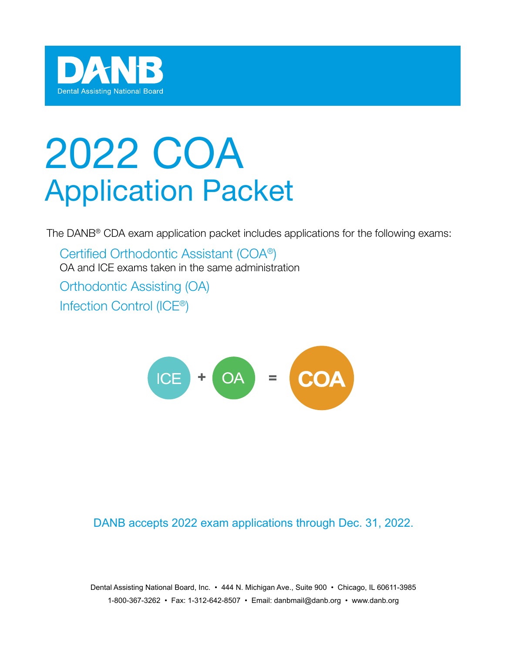

# 2022 COA Application Packet

The DANB® CDA exam application packet includes applications for the following exams:

Certified Orthodontic Assistant (COA®) OA and ICE exams taken in the same administration Orthodontic Assisting (OA) Infection Control (ICE®)



DANB accepts 2022 exam applications through Dec. 31, 2022.

Dental Assisting National Board, Inc. • 444 N. Michigan Ave., Suite 900 • Chicago, IL 60611-3985 1-800-367-3262 • Fax: 1-312-642-8507 • Email: danbmail@danb.org • www.danb.org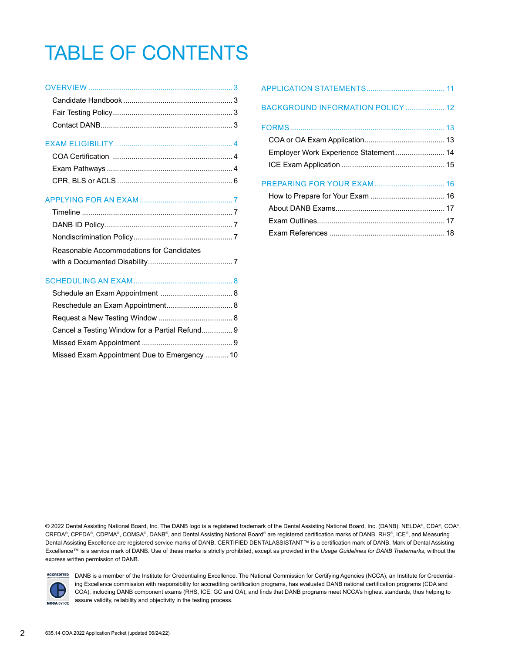# TABLE OF CONTENTS

### EXAM ELIGIBILITY ......................................................... [4](#page-3-0)

### APPLYING FOR AN EXAM ............................................. [7](#page-6-0)

| Reasonable Accommodations for Candidates |
|------------------------------------------|
|                                          |

| Cancel a Testing Window for a Partial Refund 9 |  |
|------------------------------------------------|--|
|                                                |  |
| Missed Exam Appointment Due to Emergency  10   |  |

| BACKGROUND INFORMATION POLICY  12     |  |
|---------------------------------------|--|
|                                       |  |
|                                       |  |
| Employer Work Experience Statement 14 |  |
|                                       |  |
|                                       |  |
|                                       |  |
|                                       |  |
|                                       |  |
|                                       |  |
|                                       |  |

© 2022 Dental Assisting National Board, Inc. The DANB logo is a registered trademark of the Dental Assisting National Board, Inc. (DANB). NELDA®, CDA®, COA®, CRFDA®, CPFDA®, CDPMA®, COMSA®, DANB®, and Dental Assisting National Board® are registered certification marks of DANB. RHS®, ICE®, and Measuring Dental Assisting Excellence are registered service marks of DANB. CERTIFIED DENTALASSISTANT™ is a certification mark of DANB. Mark of Dental Assisting Excellence™ is a service mark of DANB. Use of these marks is strictly prohibited, except as provided in the *Usage Guidelines for DANB Trademarks*, without the express written permission of DANB.



ACCREDITED DANB is a member of the Institute for Credentialing Excellence. The National Commission for Certifying Agencies (NCCA), an Institute for Credentialing Excellence commission with responsibility for accrediting certification programs, has evaluated DANB national certification programs (CDA and COA), including DANB component exams (RHS, ICE, GC and OA), and finds that DANB programs meet NCCA's highest standards, thus helping to assure validity, reliability and objectivity in the testing process.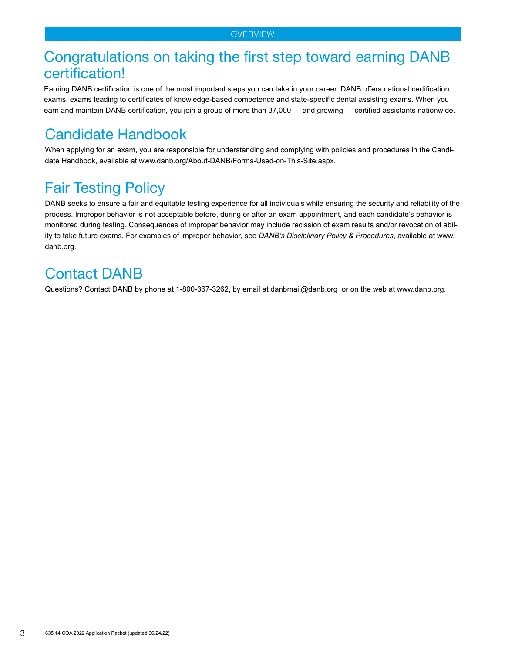### <span id="page-2-0"></span>Congratulations on taking the first step toward earning DANB certification!

Earning DANB certification is one of the most important steps you can take in your career. DANB offers national certification exams, exams leading to certificates of knowledge-based competence and state-specific dental assisting exams. When you earn and maintain DANB certification, you join a group of more than 37,000 — and growing — certified assistants nationwide.

# <span id="page-2-1"></span>Candidate Handbook

When applying for an exam, you are responsible for understanding and complying with policies and procedures in the Candidate Handbook, available at www.danb.org/About-DANB/Forms-Used-on-This-Site.aspx.

# <span id="page-2-2"></span>Fair Testing Policy

DANB seeks to ensure a fair and equitable testing experience for all individuals while ensuring the security and reliability of the process. Improper behavior is not acceptable before, during or after an exam appointment, and each candidate's behavior is monitored during testing. Consequences of improper behavior may include recission of exam results and/or revocation of ability to take future exams. For examples of improper behavior, see *DANB's Disciplinary Policy & Procedures*, available at www. danb.org.

# <span id="page-2-3"></span>Contact DANB

Questions? Contact DANB by phone at 1-800-367-3262, by email at danbmail@danb.org or on the web at www.danb.org.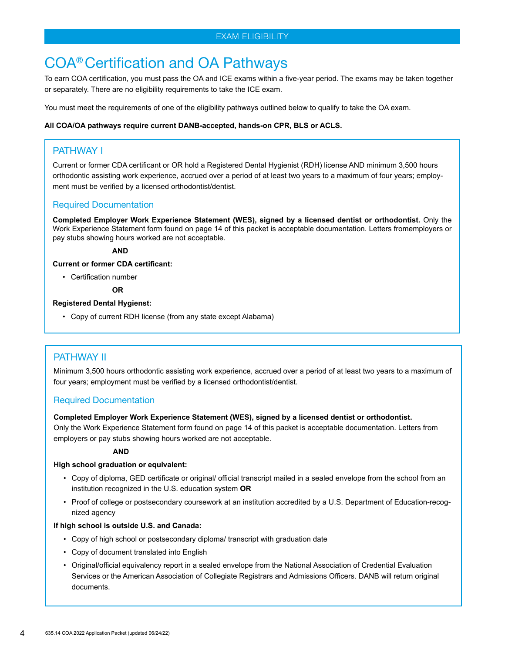# <span id="page-3-1"></span><span id="page-3-0"></span>COA® Certification and OA Pathways

To earn COA certification, you must pass the OA and ICE exams within a five-year period. The exams may be taken together or separately. There are no eligibility requirements to take the ICE exam.

You must meet the requirements of one of the eligibility pathways outlined below to qualify to take the OA exam.

#### **All COA/OA pathways require current DANB-accepted, hands-on CPR, BLS or ACLS.**

### PATHWAY I

Current or former CDA certificant or OR hold a Registered Dental Hygienist (RDH) license AND minimum 3,500 hours orthodontic assisting work experience, accrued over a period of at least two years to a maximum of four years; employment must be verified by a licensed orthodontist/dentist.

### Required Documentation

**Completed Employer Work Experience Statement (WES), signed by a licensed dentist or orthodontist.** Only the Work Experience Statement form found on page 14 of this packet is acceptable documentation. Letters fromemployers or pay stubs showing hours worked are not acceptable.

#### **AND**

**Current or former CDA certificant:**

• Certification number

 **OR**

### **Registered Dental Hygienst:**

• Copy of current RDH license (from any state except Alabama)

### PATHWAY II

Minimum 3,500 hours orthodontic assisting work experience, accrued over a period of at least two years to a maximum of four years; employment must be verified by a licensed orthodontist/dentist.

### Required Documentation

#### **Completed Employer Work Experience Statement (WES), signed by a licensed dentist or orthodontist.**

Only the Work Experience Statement form found on page 14 of this packet is acceptable documentation. Letters from employers or pay stubs showing hours worked are not acceptable.

#### **AND**

#### **High school graduation or equivalent:**

- Copy of diploma, GED certificate or original/ official transcript mailed in a sealed envelope from the school from an institution recognized in the U.S. education system **OR**
- Proof of college or postsecondary coursework at an institution accredited by a U.S. Department of Education-recognized agency

#### **If high school is outside U.S. and Canada:**

- Copy of high school or postsecondary diploma/ transcript with graduation date
- Copy of document translated into English
- Original/official equivalency report in a sealed envelope from the National Association of Credential Evaluation Services or the American Association of Collegiate Registrars and Admissions Officers. DANB will return original documents.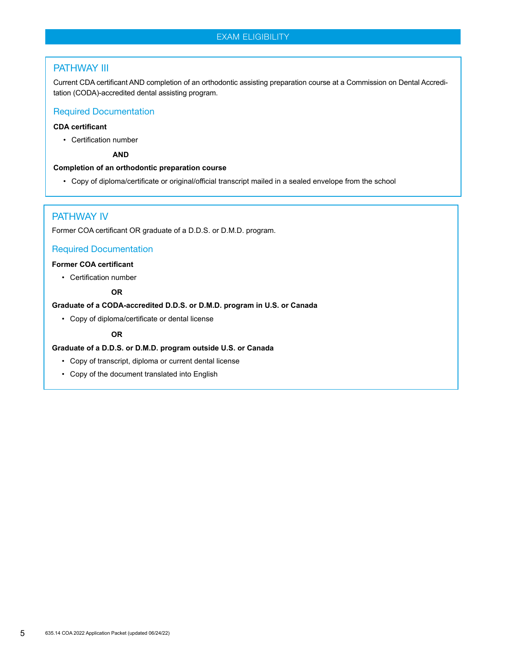### EXAM ELIGIBILITY

### PATHWAY III

Current CDA certificant AND completion of an orthodontic assisting preparation course at a Commission on Dental Accreditation (CODA)-accredited dental assisting program.

### Required Documentation

### **CDA certificant**

• Certification number

 **AND**

#### **Completion of an orthodontic preparation course**

• Copy of diploma/certificate or original/official transcript mailed in a sealed envelope from the school

### PATHWAY IV

Former COA certificant OR graduate of a D.D.S. or D.M.D. program.

### Required Documentation

### **Former COA certificant**

• Certification number

### **OR**

#### **Graduate of a CODA-accredited D.D.S. or D.M.D. program in U.S. or Canada**

• Copy of diploma/certificate or dental license

### **OR**

### **Graduate of a D.D.S. or D.M.D. program outside U.S. or Canada**

- Copy of transcript, diploma or current dental license
- Copy of the document translated into English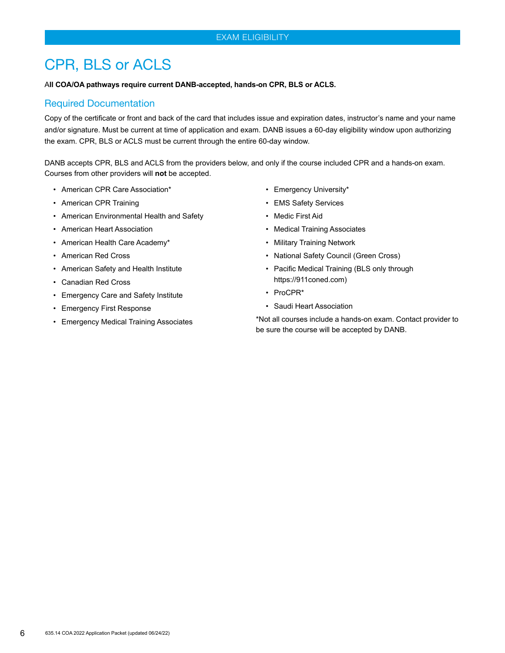# <span id="page-5-0"></span>CPR, BLS or ACLS

#### A**ll COA/OA pathways require current DANB-accepted, hands-on CPR, BLS or ACLS.**

### Required Documentation

Copy of the certificate or front and back of the card that includes issue and expiration dates, instructor's name and your name and/or signature. Must be current at time of application and exam. DANB issues a 60-day eligibility window upon authorizing the exam. CPR, BLS or ACLS must be current through the entire 60-day window.

DANB accepts CPR, BLS and ACLS from the providers below, and only if the course included CPR and a hands-on exam. Courses from other providers will **not** be accepted.

- American CPR Care Association\*
- American CPR Training
- American Environmental Health and Safety
- American Heart Association
- American Health Care Academy\*
- American Red Cross
- American Safety and Health Institute
- Canadian Red Cross
- Emergency Care and Safety Institute
- Emergency First Response
- Emergency Medical Training Associates
- Emergency University\*
- EMS Safety Services
- Medic First Aid
- Medical Training Associates
- Military Training Network
- National Safety Council (Green Cross)
- Pacific Medical Training (BLS only through https://911coned.com)
- ProCPR\*
- Saudi Heart Association

\*Not all courses include a hands-on exam. Contact provider to be sure the course will be accepted by DANB.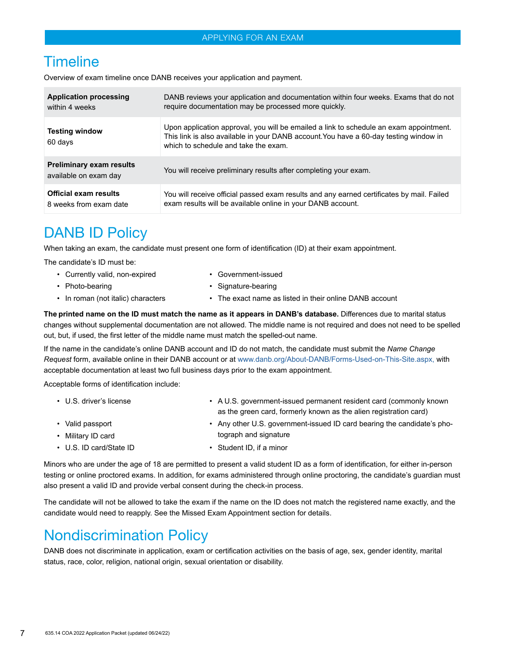### **Timeline**

Overview of exam timeline once DANB receives your application and payment.

| <b>Application processing</b>                            | DANB reviews your application and documentation within four weeks. Exams that do not                                                                                                                                    |
|----------------------------------------------------------|-------------------------------------------------------------------------------------------------------------------------------------------------------------------------------------------------------------------------|
| within 4 weeks                                           | require documentation may be processed more quickly.                                                                                                                                                                    |
| <b>Testing window</b><br>60 days                         | Upon application approval, you will be emailed a link to schedule an exam appointment.<br>This link is also available in your DANB account. You have a 60-day testing window in<br>which to schedule and take the exam. |
| <b>Preliminary exam results</b><br>available on exam day | You will receive preliminary results after completing your exam.                                                                                                                                                        |
| <b>Official exam results</b>                             | You will receive official passed exam results and any earned certificates by mail. Failed                                                                                                                               |
| 8 weeks from exam date                                   | exam results will be available online in your DANB account.                                                                                                                                                             |

# DANB ID Policy

When taking an exam, the candidate must present one form of identification (ID) at their exam appointment.

The candidate's ID must be:

- Currently valid, non-expired Government-issued
- Photo-bearing  **Signature-bearing**
- 
- <span id="page-6-0"></span>
- In roman (not italic) characters The exact name as listed in their online DANB account

**The printed name on the ID must match the name as it appears in DANB's database.** Differences due to marital status changes without supplemental documentation are not allowed. The middle name is not required and does not need to be spelled out, but, if used, the first letter of the middle name must match the spelled-out name.

If the name in the candidate's online DANB account and ID do not match, the candidate must submit the *Name Change Request* form, available online in their DANB account or at www.danb.org/About-DANB/Forms-Used-on-This-Site.aspx, with acceptable documentation at least two full business days prior to the exam appointment.

Acceptable forms of identification include:

| $\cdot$ U.S. driver's license | • A U.S. government-issued permanent resident card (commonly known |  |
|-------------------------------|--------------------------------------------------------------------|--|
|                               | as the green card, formerly known as the alien registration card)  |  |

- Valid passport Any other U.S. government-issued ID card bearing the candidate's pho-• Military ID card tograph and signature
- U.S. ID card/State ID Student ID, if a minor

Minors who are under the age of 18 are permitted to present a valid student ID as a form of identification, for either in-person testing or online proctored exams. In addition, for exams administered through online proctoring, the candidate's guardian must also present a valid ID and provide verbal consent during the check-in process.

The candidate will not be allowed to take the exam if the name on the ID does not match the registered name exactly, and the candidate would need to reapply. See the Missed Exam Appointment section for details.

## Nondiscrimination Policy

DANB does not discriminate in application, exam or certification activities on the basis of age, sex, gender identity, marital status, race, color, religion, national origin, sexual orientation or disability.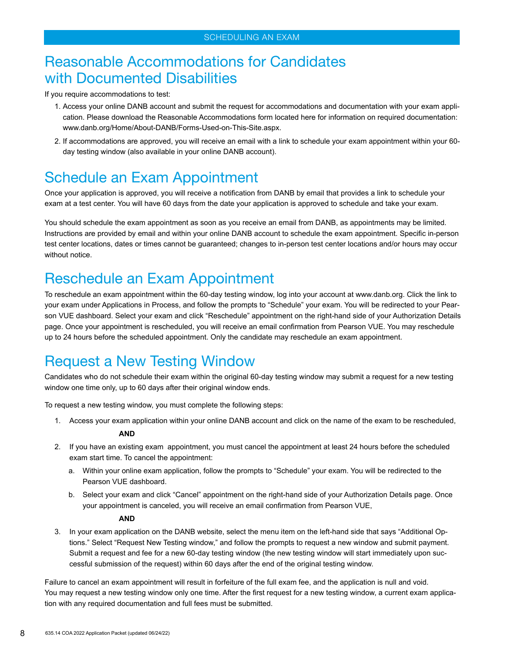# Reasonable Accommodations for Candidates with Documented Disabilities

If you require accommodations to test:

- <span id="page-7-0"></span>1. Access your online DANB account and submit the request for accommodations and documentation with your exam application. Please download the Reasonable Accommodations form located here for information on required documentation: www.danb.org/Home/About-DANB/Forms-Used-on-This-Site.aspx.
- 2. If accommodations are approved, you will receive an email with a link to schedule your exam appointment within your 60 day testing window (also available in your online DANB account).

# Schedule an Exam Appointment

Once your application is approved, you will receive a notification from DANB by email that provides a link to schedule your exam at a test center. You will have 60 days from the date your application is approved to schedule and take your exam.

You should schedule the exam appointment as soon as you receive an email from DANB, as appointments may be limited. Instructions are provided by email and within your online DANB account to schedule the exam appointment. Specific in-person test center locations, dates or times cannot be guaranteed; changes to in-person test center locations and/or hours may occur without notice.

# Reschedule an Exam Appointment

To reschedule an exam appointment within the 60-day testing window, log into your account at www.danb.org. Click the link to your exam under Applications in Process, and follow the prompts to "Schedule" your exam. You will be redirected to your Pearson VUE dashboard. Select your exam and click "Reschedule" appointment on the right-hand side of your Authorization Details page. Once your appointment is rescheduled, you will receive an email confirmation from Pearson VUE. You may reschedule up to 24 hours before the scheduled appointment. Only the candidate may reschedule an exam appointment.

# Request a New Testing Window

Candidates who do not schedule their exam within the original 60-day testing window may submit a request for a new testing window one time only, up to 60 days after their original window ends.

To request a new testing window, you must complete the following steps:

1. Access your exam application within your online DANB account and click on the name of the exam to be rescheduled,

### **AND**

- 2. If you have an existing exam appointment, you must cancel the appointment at least 24 hours before the scheduled exam start time. To cancel the appointment:
	- a. Within your online exam application, follow the prompts to "Schedule" your exam. You will be redirected to the Pearson VUE dashboard.
	- b. Select your exam and click "Cancel" appointment on the right-hand side of your Authorization Details page. Once your appointment is canceled, you will receive an email confirmation from Pearson VUE,

### **AND**

3. In your exam application on the DANB website, select the menu item on the left-hand side that says "Additional Options." Select "Request New Testing window," and follow the prompts to request a new window and submit payment. Submit a request and fee for a new 60-day testing window (the new testing window will start immediately upon successful submission of the request) within 60 days after the end of the original testing window.

Failure to cancel an exam appointment will result in forfeiture of the full exam fee, and the application is null and void. You may request a new testing window only one time. After the first request for a new testing window, a current exam application with any required documentation and full fees must be submitted.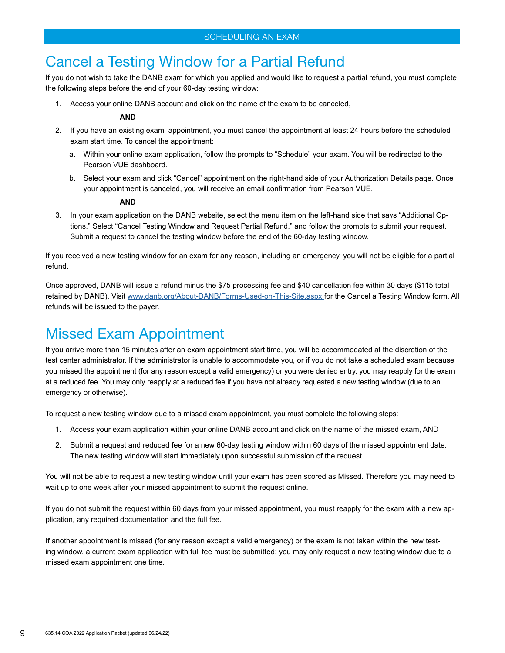# Cancel a Testing Window for a Partial Refund

If you do not wish to take the DANB exam for which you applied and would like to request a partial refund, you must complete the following steps before the end of your 60-day testing window:

1. Access your online DANB account and click on the name of the exam to be canceled,

#### **AND**

- 2. If you have an existing exam appointment, you must cancel the appointment at least 24 hours before the scheduled exam start time. To cancel the appointment:
	- a. Within your online exam application, follow the prompts to "Schedule" your exam. You will be redirected to the Pearson VUE dashboard.
	- b. Select your exam and click "Cancel" appointment on the right-hand side of your Authorization Details page. Once your appointment is canceled, you will receive an email confirmation from Pearson VUE,

#### **AND**

3. In your exam application on the DANB website, select the menu item on the left-hand side that says "Additional Options." Select "Cancel Testing Window and Request Partial Refund," and follow the prompts to submit your request. Submit a request to cancel the testing window before the end of the 60-day testing window.

If you received a new testing window for an exam for any reason, including an emergency, you will not be eligible for a partial refund.

Once approved, DANB will issue a refund minus the \$75 processing fee and \$40 cancellation fee within 30 days (\$115 total retained by DANB). Visit [www.danb.org/About-DANB/Forms-Used-on-This-Site.aspx](https://www.danb.org/About-DANB/Forms-Used-on-This-Site.aspx) for the Cancel a Testing Window form. All refunds will be issued to the payer.

# Missed Exam Appointment

If you arrive more than 15 minutes after an exam appointment start time, you will be accommodated at the discretion of the test center administrator. If the administrator is unable to accommodate you, or if you do not take a scheduled exam because you missed the appointment (for any reason except a valid emergency) or you were denied entry, you may reapply for the exam at a reduced fee. You may only reapply at a reduced fee if you have not already requested a new testing window (due to an emergency or otherwise).

To request a new testing window due to a missed exam appointment, you must complete the following steps:

- 1. Access your exam application within your online DANB account and click on the name of the missed exam, AND
- 2. Submit a request and reduced fee for a new 60-day testing window within 60 days of the missed appointment date. The new testing window will start immediately upon successful submission of the request.

You will not be able to request a new testing window until your exam has been scored as Missed. Therefore you may need to wait up to one week after your missed appointment to submit the request online.

If you do not submit the request within 60 days from your missed appointment, you must reapply for the exam with a new application, any required documentation and the full fee.

If another appointment is missed (for any reason except a valid emergency) or the exam is not taken within the new testing window, a current exam application with full fee must be submitted; you may only request a new testing window due to a missed exam appointment one time.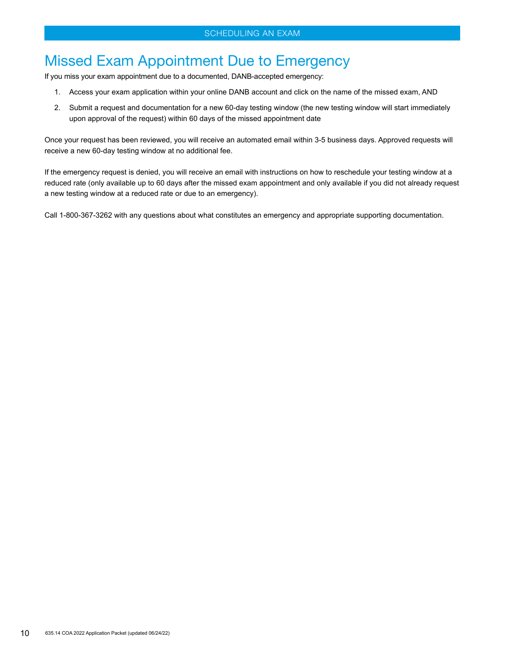# Missed Exam Appointment Due to Emergency

If you miss your exam appointment due to a documented, DANB-accepted emergency:

- 1. Access your exam application within your online DANB account and click on the name of the missed exam, AND
- 2. Submit a request and documentation for a new 60-day testing window (the new testing window will start immediately upon approval of the request) within 60 days of the missed appointment date

Once your request has been reviewed, you will receive an automated email within 3-5 business days. Approved requests will receive a new 60-day testing window at no additional fee.

If the emergency request is denied, you will receive an email with instructions on how to reschedule your testing window at a reduced rate (only available up to 60 days after the missed exam appointment and only available if you did not already request a new testing window at a reduced rate or due to an emergency).

Call 1-800-367-3262 with any questions about what constitutes an emergency and appropriate supporting documentation.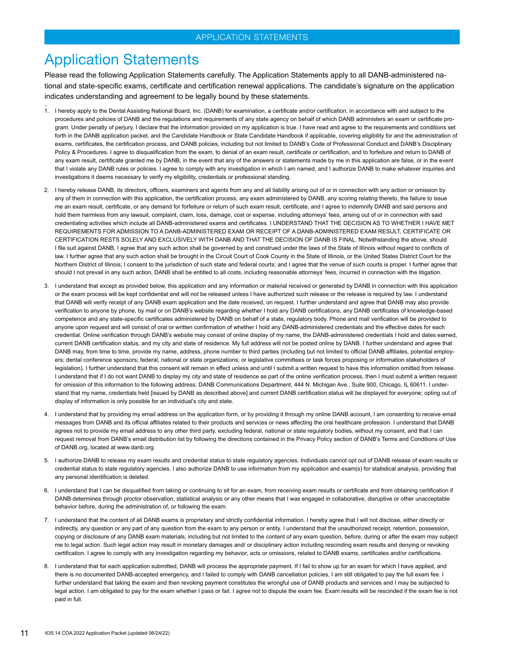### <span id="page-10-0"></span>Application Statements

Please read the following Application Statements carefully. The Application Statements apply to all DANB-administered national and state-specific exams, certificate and certification renewal applications. The candidate's signature on the application indicates understanding and agreement to be legally bound by these statements.

- .<br>1. I hereby apply to the Dental Assisting National Board, Inc. (DANB) for examination, a certificate and/or certification, in accordance with and subject to the procedures and policies of DANB and the regulations and requirements of any state agency on behalf of which DANB administers an exam or certificate program. Under penalty of perjury, I declare that the information provided on my application is true. I have read and agree to the requirements and conditions set forth in the DANB application packet, and the Candidate Handbook or State Candidate Handbook if applicable, covering eligibility for and the administration of exams, certificates, the certification process, and DANB policies, including but not limited to DANB's Code of Professional Conduct and DANB's Disciplinary Policy & Procedures. I agree to disqualification from the exam, to denial of an exam result, certificate or certification, and to forfeiture and return to DANB of any exam result, certificate granted me by DANB, in the event that any of the answers or statements made by me in this application are false, or in the event that I violate any DANB rules or policies. I agree to comply with any investigation in which I am named, and I authorize DANB to make whatever inquiries and investigations it deems necessary to verify my eligibility, credentials or professional standing.
- 2. I hereby release DANB, its directors, officers, examiners and agents from any and all liability arising out of or in connection with any action or omission by any of them in connection with this application, the certification process, any exam administered by DANB, any scoring relating thereto, the failure to issue me an exam result, certificate, or any demand for forfeiture or return of such exam result, certificate, and I agree to indemnify DANB and said persons and hold them harmless from any lawsuit, complaint, claim, loss, damage, cost or expense, including attorneys' fees, arising out of or in connection with said credentialing activities which include all DANB-administered exams and certificates. I UNDERSTAND THAT THE DECISION AS TO WHETHER I HAVE MET REQUIREMENTS FOR ADMISSION TO A DANB-ADMINISTERED EXAM OR RECEIPT OF A DANB-ADMINISTERED EXAM RESULT, CERTIFICATE OR CERTIFICATION RESTS SOLELY AND EXCLUSIVELY WITH DANB AND THAT THE DECISION OF DANB IS FINAL. Notwithstanding the above, should I file suit against DANB, I agree that any such action shall be governed by and construed under the laws of the State of Illinois without regard to conflicts of law. I further agree that any such action shall be brought in the Circuit Court of Cook County in the State of Illinois, or the United States District Court for the Northern District of Illinois; I consent to the jurisdiction of such state and federal courts; and I agree that the venue of such courts is proper. I further agree that should I not prevail in any such action, DANB shall be entitled to all costs, including reasonable attorneys' fees, incurred in connection with the litigation.
- 3. I understand that except as provided below, this application and any information or material received or generated by DANB in connection with this application or the exam process will be kept confidential and will not be released unless I have authorized such release or the release is required by law. I understand that DANB will verify receipt of any DANB exam application and the date received, on request. I further understand and agree that DANB may also provide verification to anyone by phone, by mail or on DANB's website regarding whether I hold any DANB certifications, any DANB certificates of knowledge-based competence and any state-specific certificates administered by DANB on behalf of a state, regulatory body. Phone and mail verification will be provided to anyone upon request and will consist of oral or written confirmation of whether I hold any DANB-administered credentials and the effective dates for each credential. Online verification through DANB's website may consist of online display of my name, the DANB-administered credentials I hold and dates earned, current DANB certification status, and my city and state of residence. My full address will not be posted online by DANB. I further understand and agree that DANB may, from time to time, provide my name, address, phone number to third parties (including but not limited to official DANB affiliates, potential employers; dental conference sponsors; federal, national or state organizations; or legislative committees or task forces proposing or information stakeholders of legislation). I further understand that this consent will remain in effect unless and until I submit a written request to have this information omitted from release. I understand that if I do not want DANB to display my city and state of residence as part of the online verification process, then I must submit a written request for omission of this information to the following address: DANB Communications Department, 444 N. Michigan Ave., Suite 900, Chicago, IL 60611. I understand that my name, credentials held [issued by DANB as described above] and current DANB certification status will be displayed for everyone; opting out of display of information is only possible for an individual's city and state.
- 4. I understand that by providing my email address on the application form, or by providing it through my online DANB account, I am consenting to receive email messages from DANB and its official affiliates related to their products and services or news affecting the oral healthcare profession. I understand that DANB agrees not to provide my email address to any other third party, excluding federal, national or state regulatory bodies, without my consent, and that I can request removal from DANB's email distribution list by following the directions contained in the Privacy Policy section of DANB's Terms and Conditions of Use of DANB.org, located at www.danb.org.
- 5. I authorize DANB to release my exam results and credential status to state regulatory agencies. Individuals cannot opt out of DANB release of exam results or credential status to state regulatory agencies. I also authorize DANB to use information from my application and exam(s) for statistical analysis, providing that any personal identification is deleted.
- 6. I understand that I can be disqualified from taking or continuing to sit for an exam, from receiving exam results or certificate and from obtaining certification if DANB determines through proctor observation, statistical analysis or any other means that I was engaged in collaborative, disruptive or other unacceptable behavior before, during the administration of, or following the exam.
- 7. I understand that the content of all DANB exams is proprietary and strictly confidential information. I hereby agree that I will not disclose, either directly or indirectly, any question or any part of any question from the exam to any person or entity. I understand that the unauthorized receipt, retention, possession, copying or disclosure of any DANB exam materials, including but not limited to the content of any exam question, before, during or after the exam may subject me to legal action. Such legal action may result in monetary damages and/ or disciplinary action including rescinding exam results and denying or revoking certification. I agree to comply with any investigation regarding my behavior, acts or omissions, related to DANB exams, certificates and/or certifications.
- 8. I understand that for each application submitted, DANB will process the appropriate payment. If I fail to show up for an exam for which I have applied, and there is no documented DANB-accepted emergency, and I failed to comply with DANB cancellation policies, I am still obligated to pay the full exam fee. I further understand that taking the exam and then revoking payment constitutes the wrongful use of DANB products and services and I may be subjected to legal action. I am obligated to pay for the exam whether I pass or fail. I agree not to dispute the exam fee. Exam results will be rescinded if the exam fee is not paid in full.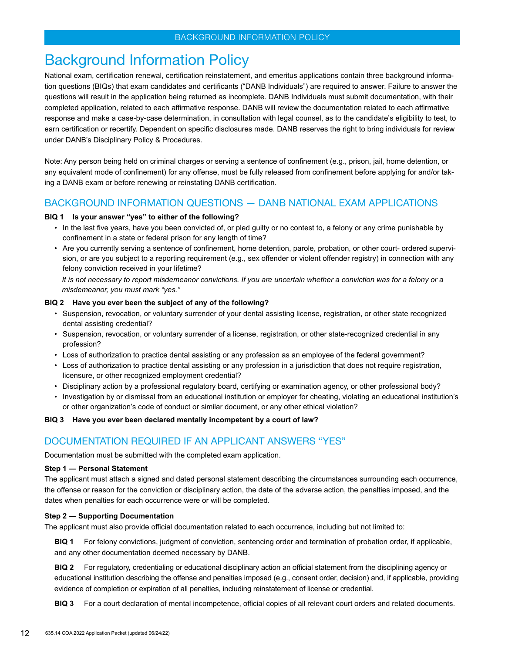### <span id="page-11-0"></span>Background Information Policy

National exam, certification renewal, certification reinstatement, and emeritus applications contain three background information questions (BIQs) that exam candidates and certificants ("DANB Individuals") are required to answer. Failure to answer the questions will result in the application being returned as incomplete. DANB Individuals must submit documentation, with their completed application, related to each affirmative response. DANB will review the documentation related to each affirmative response and make a case-by-case determination, in consultation with legal counsel, as to the candidate's eligibility to test, to earn certification or recertify. Dependent on specific disclosures made. DANB reserves the right to bring individuals for review under DANB's Disciplinary Policy & Procedures.

Note: Any person being held on criminal charges or serving a sentence of confinement (e.g., prison, jail, home detention, or any equivalent mode of confinement) for any offense, must be fully released from confinement before applying for and/or taking a DANB exam or before renewing or reinstating DANB certification.

### BACKGROUND INFORMATION QUESTIONS — DANB NATIONAL EXAM APPLICATIONS

#### **BIQ 1 Is your answer "yes" to either of the following?**

- In the last five years, have you been convicted of, or pled guilty or no contest to, a felony or any crime punishable by confinement in a state or federal prison for any length of time?
- Are you currently serving a sentence of confinement, home detention, parole, probation, or other court- ordered supervision, or are you subject to a reporting requirement (e.g., sex offender or violent offender registry) in connection with any felony conviction received in your lifetime?

It is not necessary to report misdemeanor convictions. If you are uncertain whether a conviction was for a felony or a *misdemeanor, you must mark "yes."* 

#### **BIQ 2 Have you ever been the subject of any of the following?**

- Suspension, revocation, or voluntary surrender of your dental assisting license, registration, or other state recognized dental assisting credential?
- Suspension, revocation, or voluntary surrender of a license, registration, or other state-recognized credential in any profession?
- Loss of authorization to practice dental assisting or any profession as an employee of the federal government?
- Loss of authorization to practice dental assisting or any profession in a jurisdiction that does not require registration, licensure, or other recognized employment credential?
- Disciplinary action by a professional regulatory board, certifying or examination agency, or other professional body?
- Investigation by or dismissal from an educational institution or employer for cheating, violating an educational institution's or other organization's code of conduct or similar document, or any other ethical violation?

#### **BIQ 3 Have you ever been declared mentally incompetent by a court of law?**

### DOCUMENTATION REQUIRED IF AN APPLICANT ANSWERS "YES"

Documentation must be submitted with the completed exam application.

#### **Step 1 — Personal Statement**

The applicant must attach a signed and dated personal statement describing the circumstances surrounding each occurrence, the offense or reason for the conviction or disciplinary action, the date of the adverse action, the penalties imposed, and the dates when penalties for each occurrence were or will be completed.

#### **Step 2 — Supporting Documentation**

The applicant must also provide official documentation related to each occurrence, including but not limited to:

**BIQ 1** For felony convictions, judgment of conviction, sentencing order and termination of probation order, if applicable, and any other documentation deemed necessary by DANB.

**BIQ 2** For regulatory, credentialing or educational disciplinary action an official statement from the disciplining agency or educational institution describing the offense and penalties imposed (e.g., consent order, decision) and, if applicable, providing evidence of completion or expiration of all penalties, including reinstatement of license or credential.

**BIQ 3** For a court declaration of mental incompetence, official copies of all relevant court orders and related documents.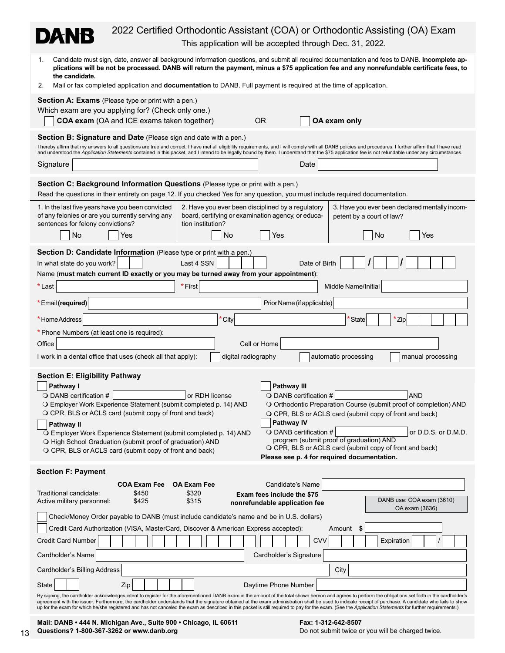| 2022 Certified Orthodontic Assistant (COA) or Orthodontic Assisting (OA) Exam<br>DANB<br>This application will be accepted through Dec. 31, 2022.                                                                                                                                                                                                                                                                                                                                                                                                                                                                                                                                                                                                                                                                                                                                       |  |  |  |
|-----------------------------------------------------------------------------------------------------------------------------------------------------------------------------------------------------------------------------------------------------------------------------------------------------------------------------------------------------------------------------------------------------------------------------------------------------------------------------------------------------------------------------------------------------------------------------------------------------------------------------------------------------------------------------------------------------------------------------------------------------------------------------------------------------------------------------------------------------------------------------------------|--|--|--|
| Candidate must sign, date, answer all background information questions, and submit all required documentation and fees to DANB. Incomplete ap-<br>1.<br>plications will be not be processed. DANB will return the payment, minus a \$75 application fee and any nonrefundable certificate fees, to<br>the candidate.<br>Mail or fax completed application and documentation to DANB. Full payment is required at the time of application.<br>2.                                                                                                                                                                                                                                                                                                                                                                                                                                         |  |  |  |
| <b>Section A: Exams</b> (Please type or print with a pen.)<br>Which exam are you applying for? (Check only one.)<br>COA exam (OA and ICE exams taken together)<br>OA exam only<br>0R                                                                                                                                                                                                                                                                                                                                                                                                                                                                                                                                                                                                                                                                                                    |  |  |  |
| <b>Section B: Signature and Date</b> (Please sign and date with a pen.)<br>I hereby affirm that my answers to all questions are true and correct, I have met all eligibility requirements, and I will comply with all DANB policies and procedures. I further affirm that I have read<br>and understood the Application Statements contained in this packet, and I intend to be legally bound by them. I understand that the \$75 application fee is not refundable under any circumstances.<br>Signature<br>Date                                                                                                                                                                                                                                                                                                                                                                       |  |  |  |
| Section C: Background Information Questions (Please type or print with a pen.)<br>Read the questions in their entirety on page 12. If you checked Yes for any question, you must include required documentation.                                                                                                                                                                                                                                                                                                                                                                                                                                                                                                                                                                                                                                                                        |  |  |  |
| 1. In the last five years have you been convicted<br>2. Have you ever been disciplined by a regulatory<br>3. Have you ever been declared mentally incom-<br>of any felonies or are you currently serving any<br>board, certifying or examination agency, or educa-<br>petent by a court of law?<br>sentences for felony convictions?<br>tion institution?<br>No<br>Yes<br>No<br>No<br>Yes<br>Yes                                                                                                                                                                                                                                                                                                                                                                                                                                                                                        |  |  |  |
| Section D: Candidate Information (Please type or print with a pen.)<br>Last 4 SSN<br>In what state do you work?<br>Date of Birth<br>Name (must match current ID exactly or you may be turned away from your appointment):<br>* Last<br>* First<br>Middle Name/Initial                                                                                                                                                                                                                                                                                                                                                                                                                                                                                                                                                                                                                   |  |  |  |
| *Email (required)<br>Prior Name (if applicable)<br>*Home Address<br><sup>t</sup> City<br><b>State</b><br>*Zip                                                                                                                                                                                                                                                                                                                                                                                                                                                                                                                                                                                                                                                                                                                                                                           |  |  |  |
| * Phone Numbers (at least one is required):<br>Office<br>Cell or Home<br>I work in a dental office that uses (check all that apply):<br>digital radiography<br>automatic processing<br>manual processing                                                                                                                                                                                                                                                                                                                                                                                                                                                                                                                                                                                                                                                                                |  |  |  |
| <b>Section E: Eligibility Pathway</b><br>Pathway I<br>Pathway III<br>$\bigcirc$ DANB certification #<br>or RDH license<br>$\bigcirc$ DANB certification #<br><b>AND</b><br>O Employer Work Experience Statement (submit completed p. 14) AND<br>O Orthodontic Preparation Course (submit proof of completion) AND<br>O CPR, BLS or ACLS card (submit copy of front and back)<br>O CPR, BLS or ACLS card (submit copy of front and back)<br>Pathway IV<br><b>Pathway II</b><br>$\bigcirc$ DANB certification #<br>or D.D.S. or D.M.D.<br>O Employer Work Experience Statement (submit completed p. 14) AND<br>program (submit proof of graduation) AND<br>O High School Graduation (submit proof of graduation) AND<br>O CPR, BLS or ACLS card (submit copy of front and back)<br>O CPR, BLS or ACLS card (submit copy of front and back)<br>Please see p. 4 for required documentation. |  |  |  |
| <b>Section F: Payment</b>                                                                                                                                                                                                                                                                                                                                                                                                                                                                                                                                                                                                                                                                                                                                                                                                                                                               |  |  |  |
| Candidate's Name<br><b>COA Exam Fee</b><br><b>OA Exam Fee</b><br>Traditional candidate:<br>\$450<br>\$320<br>Exam fees include the \$75<br>DANB use: COA exam (3610)<br>Active military personnel:<br>\$425<br>\$315<br>nonrefundable application fee<br>OA exam (3636)                                                                                                                                                                                                                                                                                                                                                                                                                                                                                                                                                                                                                 |  |  |  |
| Check/Money Order payable to DANB (must include candidate's name and be in U.S. dollars)<br>Credit Card Authorization (VISA, MasterCard, Discover & American Express accepted):<br>Amount<br>\$                                                                                                                                                                                                                                                                                                                                                                                                                                                                                                                                                                                                                                                                                         |  |  |  |
| <b>CVV</b><br><b>Credit Card Number</b><br>Expiration                                                                                                                                                                                                                                                                                                                                                                                                                                                                                                                                                                                                                                                                                                                                                                                                                                   |  |  |  |
| Cardholder's Name<br>Cardholder's Signature                                                                                                                                                                                                                                                                                                                                                                                                                                                                                                                                                                                                                                                                                                                                                                                                                                             |  |  |  |
| Cardholder's Billing Address<br>City                                                                                                                                                                                                                                                                                                                                                                                                                                                                                                                                                                                                                                                                                                                                                                                                                                                    |  |  |  |
| State<br>Zip<br>Daytime Phone Number                                                                                                                                                                                                                                                                                                                                                                                                                                                                                                                                                                                                                                                                                                                                                                                                                                                    |  |  |  |
| By signing, the cardholder acknowledges intent to register for the aforementioned DANB exam in the amount of the total shown hereon and agrees to perform the obligations set forth in the cardholder's<br>agreement with the issuer. Furthermore, the cardholder understands that the signature obtained at the exam administration shall be used to indicate receipt of purchase. A candidate who fails to show<br>up for the exam for which he/she registered and has not canceled the exam as described in this packet is still required to pay for the exam. (See the Application Statements for further requirements.)                                                                                                                                                                                                                                                            |  |  |  |
|                                                                                                                                                                                                                                                                                                                                                                                                                                                                                                                                                                                                                                                                                                                                                                                                                                                                                         |  |  |  |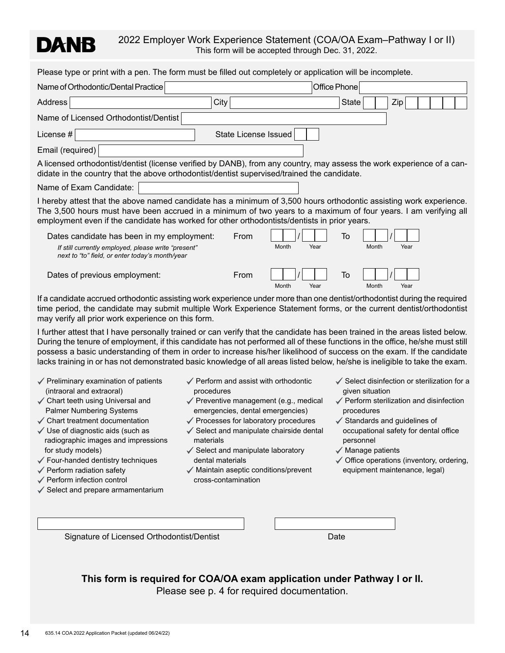# DANB

2022 Employer Work Experience Statement (COA/OA Exam–Pathway I or II) This form will be accepted through Dec. 31, 2022.

Please type or print with a pen. The form must be filled out completely or application will be incomplete.

| Please type or print with a pen. The form must be filled out completely or application will be incomplete.                                                                                                                                                                                                                            |                       |              |      |
|---------------------------------------------------------------------------------------------------------------------------------------------------------------------------------------------------------------------------------------------------------------------------------------------------------------------------------------|-----------------------|--------------|------|
| Name of Orthodontic/Dental Practice                                                                                                                                                                                                                                                                                                   |                       | Office Phone |      |
| Address<br>City                                                                                                                                                                                                                                                                                                                       |                       | <b>State</b> | Zip  |
| Name of Licensed Orthodontist/Dentist                                                                                                                                                                                                                                                                                                 |                       |              |      |
| License #                                                                                                                                                                                                                                                                                                                             | State License Issued  |              |      |
| Email (required)                                                                                                                                                                                                                                                                                                                      |                       |              |      |
| A licensed orthodontist/dentist (license verified by DANB), from any country, may assess the work experience of a can-<br>didate in the country that the above orthodontist/dentist supervised/trained the candidate.                                                                                                                 |                       |              |      |
| Name of Exam Candidate:                                                                                                                                                                                                                                                                                                               |                       |              |      |
| I hereby attest that the above named candidate has a minimum of 3,500 hours orthodontic assisting work experience.<br>The 3,500 hours must have been accrued in a minimum of two years to a maximum of four years. I am verifying all<br>employment even if the candidate has worked for other orthodontists/dentists in prior years. |                       |              |      |
| Dates candidate has been in my employment:<br>If still currently employed, please write "present"<br>next to "to" field, or enter today's month/year                                                                                                                                                                                  | From<br>Month<br>Year | To<br>Month  | Year |
| Dates of previous employment:                                                                                                                                                                                                                                                                                                         | From<br>Month<br>Year | To<br>Month  | Year |

If a candidate accrued orthodontic assisting work experience under more than one dentist/orthodontist during the required time period, the candidate may submit multiple Work Experience Statement forms, or the current dentist/orthodontist may verify all prior work experience on this form.

I further attest that I have personally trained or can verify that the candidate has been trained in the areas listed below. During the tenure of employment, if this candidate has not performed all of these functions in the office, he/she must still possess a basic understanding of them in order to increase his/her likelihood of success on the exam. If the candidate lacks training in or has not demonstrated basic knowledge of all areas listed below, he/she is ineligible to take the exam.

- $\checkmark$  Preliminary examination of patients (intraoral and extraoral)
- $\checkmark$  Chart teeth using Universal and Palmer Numbering Systems
- $\checkmark$  Chart treatment documentation
- $\checkmark$  Use of diagnostic aids (such as radiographic images and impressions for study models)
- $\checkmark$  Four-handed dentistry techniques
- $\checkmark$  Perform radiation safety
- ✔ Perform infection control
- $\checkmark$  Select and prepare armamentarium
- $\checkmark$  Perform and assist with orthodontic procedures
- ✔ Preventive management (e.g., medical emergencies, dental emergencies)
- ✔ Processes for laboratory procedures
- ✔ Select and manipulate chairside dental materials
- $\checkmark$  Select and manipulate laboratory dental materials
- $\checkmark$  Maintain aseptic conditions/prevent cross-contamination
- $\checkmark$  Select disinfection or sterilization for a given situation
- $\checkmark$  Perform sterilization and disinfection procedures
- $\checkmark$  Standards and guidelines of occupational safety for dental office personnel
- $\checkmark$  Manage patients
- $\checkmark$  Office operations (inventory, ordering, equipment maintenance, legal)

Signature of Licensed Orthodontist/Dentist Dentist Date Date

**This form is required for COA/OA exam application under Pathway I or II.**  Please see p. 4 for required documentation.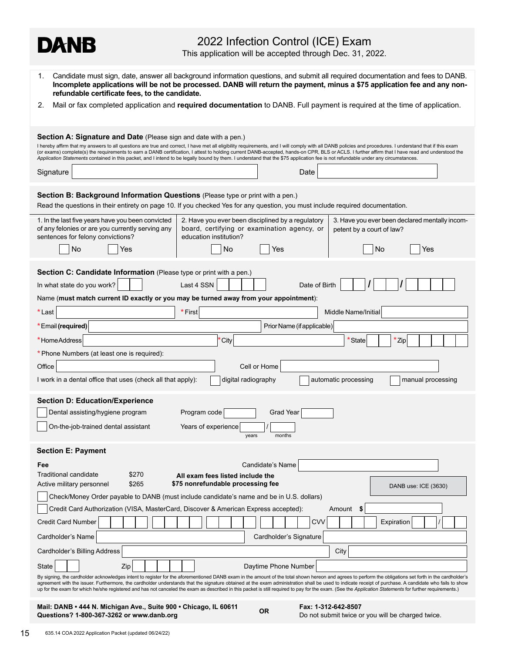This application will be accepted through Dec. 31, 2022.

| Candidate must sign, date, answer all background information questions, and submit all required documentation and fees to DANB.<br>1.<br>Incomplete applications will be not be processed. DANB will return the payment, minus a \$75 application fee and any non-<br>refundable certificate fees, to the candidate.                                                                                                                                                                                                                                                                                                         |                                                                                                                                                                                                                                                                                                                                                                                                                                                                                                                                                                                                                                                                                    |  |
|------------------------------------------------------------------------------------------------------------------------------------------------------------------------------------------------------------------------------------------------------------------------------------------------------------------------------------------------------------------------------------------------------------------------------------------------------------------------------------------------------------------------------------------------------------------------------------------------------------------------------|------------------------------------------------------------------------------------------------------------------------------------------------------------------------------------------------------------------------------------------------------------------------------------------------------------------------------------------------------------------------------------------------------------------------------------------------------------------------------------------------------------------------------------------------------------------------------------------------------------------------------------------------------------------------------------|--|
| 2.                                                                                                                                                                                                                                                                                                                                                                                                                                                                                                                                                                                                                           | Mail or fax completed application and required documentation to DANB. Full payment is required at the time of application.                                                                                                                                                                                                                                                                                                                                                                                                                                                                                                                                                         |  |
| Signature                                                                                                                                                                                                                                                                                                                                                                                                                                                                                                                                                                                                                    | <b>Section A: Signature and Date</b> (Please sign and date with a pen.)<br>I hereby affirm that my answers to all questions are true and correct, I have met all eligibility requirements, and I will comply with all DANB policies and procedures. I understand that if this exam<br>(or exams) complete(s) the requirements to earn a DANB certification, I attest to holding current DANB-accepted, hands-on CPR, BLS or ACLS. I further affirm that I have read and understood the<br>Application Statements contained in this packet, and I intend to be legally bound by them. I understand that the \$75 application fee is not refundable under any circumstances.<br>Date |  |
|                                                                                                                                                                                                                                                                                                                                                                                                                                                                                                                                                                                                                              |                                                                                                                                                                                                                                                                                                                                                                                                                                                                                                                                                                                                                                                                                    |  |
|                                                                                                                                                                                                                                                                                                                                                                                                                                                                                                                                                                                                                              | Section B: Background Information Questions (Please type or print with a pen.)<br>Read the questions in their entirety on page 10. If you checked Yes for any question, you must include required documentation.                                                                                                                                                                                                                                                                                                                                                                                                                                                                   |  |
|                                                                                                                                                                                                                                                                                                                                                                                                                                                                                                                                                                                                                              | 1. In the last five years have you been convicted<br>2. Have you ever been disciplined by a regulatory<br>3. Have you ever been declared mentally incom-<br>of any felonies or are you currently serving any<br>board, certifying or examination agency, or<br>petent by a court of law?<br>sentences for felony convictions?<br>education institution?                                                                                                                                                                                                                                                                                                                            |  |
|                                                                                                                                                                                                                                                                                                                                                                                                                                                                                                                                                                                                                              | No<br><b>No</b><br>No<br>Yes<br>Yes<br>Yes                                                                                                                                                                                                                                                                                                                                                                                                                                                                                                                                                                                                                                         |  |
|                                                                                                                                                                                                                                                                                                                                                                                                                                                                                                                                                                                                                              | Section C: Candidate Information (Please type or print with a pen.)                                                                                                                                                                                                                                                                                                                                                                                                                                                                                                                                                                                                                |  |
|                                                                                                                                                                                                                                                                                                                                                                                                                                                                                                                                                                                                                              | In what state do you work?<br>Last 4 SSN<br>Date of Birth                                                                                                                                                                                                                                                                                                                                                                                                                                                                                                                                                                                                                          |  |
|                                                                                                                                                                                                                                                                                                                                                                                                                                                                                                                                                                                                                              | Name (must match current ID exactly or you may be turned away from your appointment):                                                                                                                                                                                                                                                                                                                                                                                                                                                                                                                                                                                              |  |
| *Last                                                                                                                                                                                                                                                                                                                                                                                                                                                                                                                                                                                                                        | * First<br>Middle Name/Initial                                                                                                                                                                                                                                                                                                                                                                                                                                                                                                                                                                                                                                                     |  |
|                                                                                                                                                                                                                                                                                                                                                                                                                                                                                                                                                                                                                              | *Email (required)<br>Prior Name (if applicable)                                                                                                                                                                                                                                                                                                                                                                                                                                                                                                                                                                                                                                    |  |
| *HomeAddress<br>City<br>*State<br>*Zip                                                                                                                                                                                                                                                                                                                                                                                                                                                                                                                                                                                       |                                                                                                                                                                                                                                                                                                                                                                                                                                                                                                                                                                                                                                                                                    |  |
|                                                                                                                                                                                                                                                                                                                                                                                                                                                                                                                                                                                                                              | * Phone Numbers (at least one is required):                                                                                                                                                                                                                                                                                                                                                                                                                                                                                                                                                                                                                                        |  |
| Office                                                                                                                                                                                                                                                                                                                                                                                                                                                                                                                                                                                                                       | Cell or Home                                                                                                                                                                                                                                                                                                                                                                                                                                                                                                                                                                                                                                                                       |  |
|                                                                                                                                                                                                                                                                                                                                                                                                                                                                                                                                                                                                                              | I work in a dental office that uses (check all that apply):<br>digital radiography<br>automatic processing<br>manual processing                                                                                                                                                                                                                                                                                                                                                                                                                                                                                                                                                    |  |
|                                                                                                                                                                                                                                                                                                                                                                                                                                                                                                                                                                                                                              | <b>Section D: Education/Experience</b>                                                                                                                                                                                                                                                                                                                                                                                                                                                                                                                                                                                                                                             |  |
|                                                                                                                                                                                                                                                                                                                                                                                                                                                                                                                                                                                                                              | Dental assisting/hygiene program<br>Program code<br>Grad Year                                                                                                                                                                                                                                                                                                                                                                                                                                                                                                                                                                                                                      |  |
| On-the-job-trained dental assistant<br>Years of experience<br>years<br>months                                                                                                                                                                                                                                                                                                                                                                                                                                                                                                                                                |                                                                                                                                                                                                                                                                                                                                                                                                                                                                                                                                                                                                                                                                                    |  |
|                                                                                                                                                                                                                                                                                                                                                                                                                                                                                                                                                                                                                              | <b>Section E: Payment</b>                                                                                                                                                                                                                                                                                                                                                                                                                                                                                                                                                                                                                                                          |  |
| Fee                                                                                                                                                                                                                                                                                                                                                                                                                                                                                                                                                                                                                          | Candidate's Name                                                                                                                                                                                                                                                                                                                                                                                                                                                                                                                                                                                                                                                                   |  |
| Traditional candidate<br>\$270<br>All exam fees listed include the<br>\$75 nonrefundable processing fee<br>\$265<br>Active military personnel<br>DANB use: ICE (3630)                                                                                                                                                                                                                                                                                                                                                                                                                                                        |                                                                                                                                                                                                                                                                                                                                                                                                                                                                                                                                                                                                                                                                                    |  |
|                                                                                                                                                                                                                                                                                                                                                                                                                                                                                                                                                                                                                              | Check/Money Order payable to DANB (must include candidate's name and be in U.S. dollars)                                                                                                                                                                                                                                                                                                                                                                                                                                                                                                                                                                                           |  |
| Credit Card Authorization (VISA, MasterCard, Discover & American Express accepted):<br>Amount<br>\$                                                                                                                                                                                                                                                                                                                                                                                                                                                                                                                          |                                                                                                                                                                                                                                                                                                                                                                                                                                                                                                                                                                                                                                                                                    |  |
|                                                                                                                                                                                                                                                                                                                                                                                                                                                                                                                                                                                                                              | <b>Credit Card Number</b><br><b>CVV</b><br>Expiration                                                                                                                                                                                                                                                                                                                                                                                                                                                                                                                                                                                                                              |  |
|                                                                                                                                                                                                                                                                                                                                                                                                                                                                                                                                                                                                                              | Cardholder's Signature<br>Cardholder's Name                                                                                                                                                                                                                                                                                                                                                                                                                                                                                                                                                                                                                                        |  |
| Cardholder's Billing Address<br>City                                                                                                                                                                                                                                                                                                                                                                                                                                                                                                                                                                                         |                                                                                                                                                                                                                                                                                                                                                                                                                                                                                                                                                                                                                                                                                    |  |
| Zip<br>Daytime Phone Number<br>State                                                                                                                                                                                                                                                                                                                                                                                                                                                                                                                                                                                         |                                                                                                                                                                                                                                                                                                                                                                                                                                                                                                                                                                                                                                                                                    |  |
| By signing, the cardholder acknowledges intent to register for the aforementioned DANB exam in the amount of the total shown hereon and agrees to perform the obligations set forth in the cardholder's<br>agreement with the issuer. Furthermore, the cardholder understands that the signature obtained at the exam administration shall be used to indicate receipt of purchase. A candidate who fails to show<br>up for the exam for which he/she registered and has not canceled the exam as described in this packet is still required to pay for the exam. (See the Application Statements for further requirements.) |                                                                                                                                                                                                                                                                                                                                                                                                                                                                                                                                                                                                                                                                                    |  |
|                                                                                                                                                                                                                                                                                                                                                                                                                                                                                                                                                                                                                              | Mail: DANB • 444 N. Michigan Ave., Suite 900 • Chicago, IL 60611<br>Fax: 1-312-642-8507                                                                                                                                                                                                                                                                                                                                                                                                                                                                                                                                                                                            |  |

**CONSTRAND FIRE IN A SUITE OF CONSTRANT CONSTRANT OR CONSTRANT OR DOM** Do not submit twice or you will be charged twice.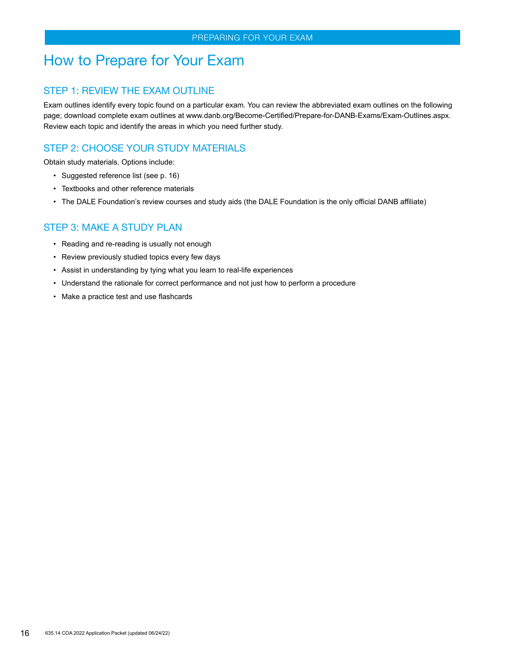### <span id="page-15-1"></span><span id="page-15-0"></span>How to Prepare for Your Exam

### STEP 1: REVIEW THE EXAM OUTLINE

Exam outlines identify every topic found on a particular exam. You can review the abbreviated exam outlines on the following page; download complete exam outlines at www.danb.org/Become-Certified/Prepare-for-DANB-Exams/Exam-Outlines.aspx. Review each topic and identify the areas in which you need further study.

### STEP 2: CHOOSE YOUR STUDY MATERIALS

Obtain study materials. Options include:

- Suggested reference list (see p. 16)
- Textbooks and other reference materials
- The DALE Foundation's review courses and study aids (the DALE Foundation is the only official DANB affiliate)

### STEP 3: MAKE A STUDY PLAN

- Reading and re-reading is usually not enough
- Review previously studied topics every few days
- Assist in understanding by tying what you learn to real-life experiences
- Understand the rationale for correct performance and not just how to perform a procedure
- Make a practice test and use flashcards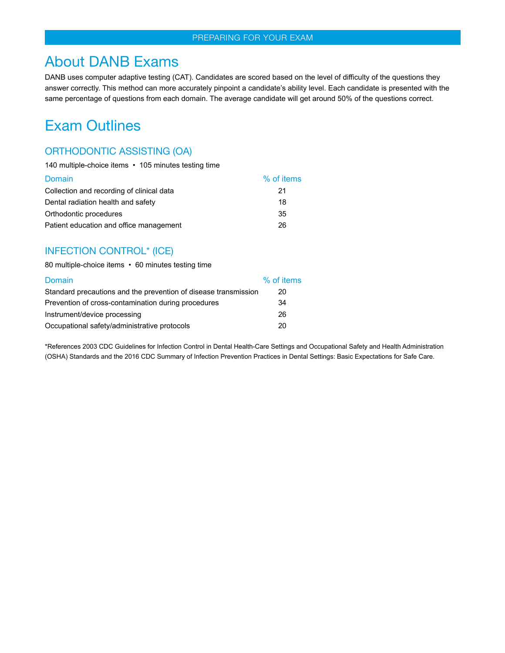### <span id="page-16-0"></span>About DANB Exams

DANB uses computer adaptive testing (CAT). Candidates are scored based on the level of difficulty of the questions they answer correctly. This method can more accurately pinpoint a candidate's ability level. Each candidate is presented with the same percentage of questions from each domain. The average candidate will get around 50% of the questions correct.

### <span id="page-16-1"></span>Exam Outlines

### ORTHODONTIC ASSISTING (OA)

| 140 multiple-choice items • 105 minutes testing time |            |
|------------------------------------------------------|------------|
| Domain                                               | % of items |
| Collection and recording of clinical data            | 21         |
| Dental radiation health and safety                   | 18         |
| Orthodontic procedures                               | 35         |
| Patient education and office management              | 26         |

### INFECTION CONTROL\* (ICE)

80 multiple-choice items • 60 minutes testing time

| Domain                                                          | % of items |
|-----------------------------------------------------------------|------------|
| Standard precautions and the prevention of disease transmission | 20         |
| Prevention of cross-contamination during procedures             | 34         |
| Instrument/device processing                                    | 26         |
| Occupational safety/administrative protocols                    | 20         |

\*References 2003 CDC Guidelines for Infection Control in Dental Health-Care Settings and Occupational Safety and Health Administration (OSHA) Standards and the 2016 CDC Summary of Infection Prevention Practices in Dental Settings: Basic Expectations for Safe Care.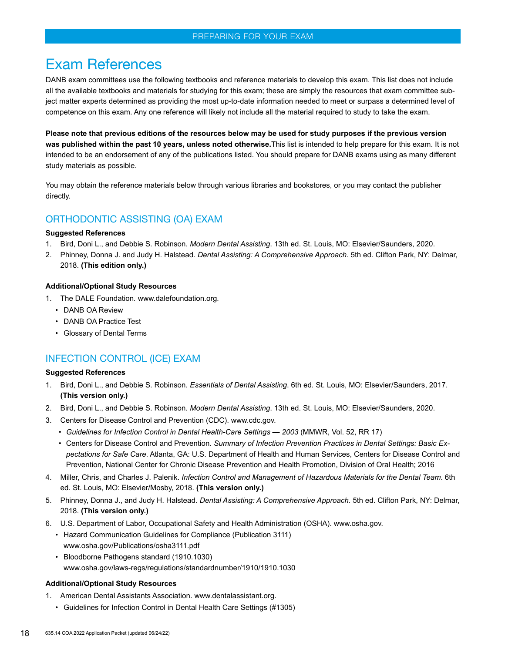### PREPARING FOR YOUR EXAM

### <span id="page-17-0"></span>Exam References

DANB exam committees use the following textbooks and reference materials to develop this exam. This list does not include all the available textbooks and materials for studying for this exam; these are simply the resources that exam committee subject matter experts determined as providing the most up-to-date information needed to meet or surpass a determined level of competence on this exam. Any one reference will likely not include all the material required to study to take the exam.

**Please note that previous editions of the resources below may be used for study purposes if the previous version was published within the past 10 years, unless noted otherwise.**This list is intended to help prepare for this exam. It is not intended to be an endorsement of any of the publications listed. You should prepare for DANB exams using as many different study materials as possible.

You may obtain the reference materials below through various libraries and bookstores, or you may contact the publisher directly.

### ORTHODONTIC ASSISTING (OA) EXAM

#### **Suggested References**

- 1. Bird, Doni L., and Debbie S. Robinson. *Modern Dental Assisting*. 13th ed. St. Louis, MO: Elsevier/Saunders, 2020.
- 2. Phinney, Donna J. and Judy H. Halstead. *Dental Assisting: A Comprehensive Approach*. 5th ed. Clifton Park, NY: Delmar, 2018. **(This edition only.)**

#### **Additional/Optional Study Resources**

- 1. The DALE Foundation*.* www.dalefoundation.org*.*
	- DANB OA Review
	- DANB OA Practice Test
	- Glossary of Dental Terms

### INFECTION CONTROL (ICE) EXAM

### **Suggested References**

- 1. Bird, Doni L., and Debbie S. Robinson. *Essentials of Dental Assisting*. 6th ed. St. Louis, MO: Elsevier/Saunders, 2017. **(This version only.)**
- 2. Bird, Doni L., and Debbie S. Robinson. *Modern Dental Assisting*. 13th ed. St. Louis, MO: Elsevier/Saunders, 2020.
- 3. Centers for Disease Control and Prevention (CDC). www.cdc.gov.
	- *• Guidelines for Infection Control in Dental Health-Care Settings 2003* (MMWR, Vol. 52, RR 17)
	- Centers for Disease Control and Prevention. *Summary of Infection Prevention Practices in Dental Settings: Basic Expectations for Safe Care*. Atlanta, GA: U.S. Department of Health and Human Services, Centers for Disease Control and Prevention, National Center for Chronic Disease Prevention and Health Promotion, Division of Oral Health; 2016
- 4. Miller, Chris, and Charles J. Palenik. *Infection Control and Management of Hazardous Materials for the Dental Team*. 6th ed. St. Louis, MO: Elsevier/Mosby, 2018. **(This version only.)**
- 5. Phinney, Donna J., and Judy H. Halstead. *Dental Assisting: A Comprehensive Approach*. 5th ed. Clifton Park, NY: Delmar, 2018. **(This version only.)**
- 6. U.S. Department of Labor, Occupational Safety and Health Administration (OSHA). www.osha.gov.
- Hazard Communication Guidelines for Compliance (Publication 3111) www.osha.gov/Publications/osha3111.pdf
	- Bloodborne Pathogens standard (1910.1030) www.osha.gov/laws-regs/regulations/standardnumber/1910/1910.1030

### **Additional/Optional Study Resources**

- 1. American Dental Assistants Association. www.dentalassistant.org.
	- Guidelines for Infection Control in Dental Health Care Settings (#1305)